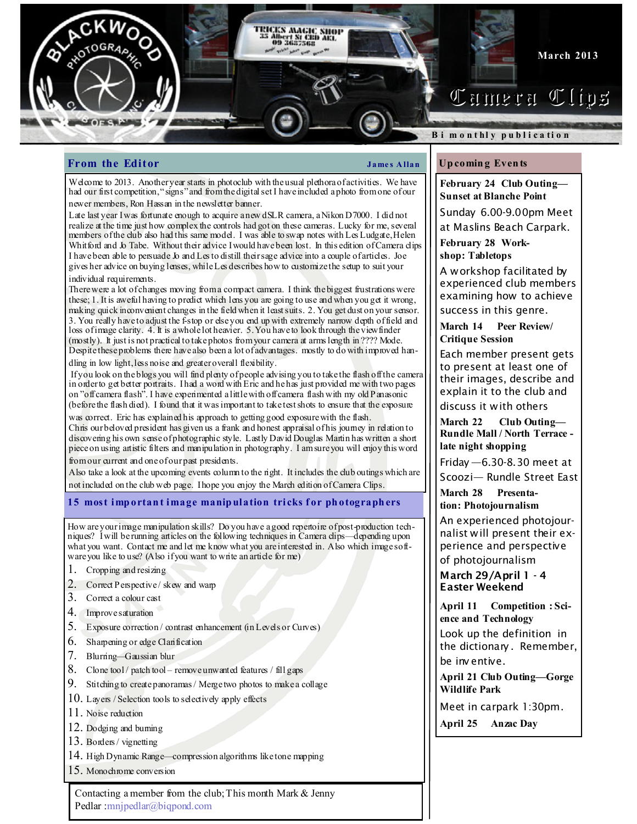

## **From the Editor**  $\qquad \qquad \qquad$  James Allan

Welcome to 2013. Another year starts in photoclub with the usual plethora of activities. We have had our first competition, "signs" and from the digital set I have included a photo from one of our newer members, Ron Hassan in the newsletter banner.

Late last year I was fortunate enough to acquire a new dSLR camera, a Nikon D7000. I did not realize at the time just how complex the controls had got on these cameras. Lucky for me, several members of the club also had this same model. I was able to swap notes with Les Ludgate, Helen Whitford and Jo Tabe. Without their advice I would have been lost. In this edition of Camera clips I have been able to persuade Jo and Les to distill their sage advice into a couple of articles. Joe gives her advice on buying lenses, while Les describes how to customize the setup to suit your individual requirements.

There were a lot of changes moving from a compact camera. I think the biggest frustrations were these; 1. It is aweful having to predict which lens you are going to use and when you get it wrong, making quick inconvenient changes in the field when it least suits. 2. You get dust on your sensor. 3. You really have to adjust the f-stop or else you end up with extremely narrow depth of field and loss of image clarity. 4. It is a whole lot heavier. 5. You have to look through the viewfinder (mostly). It just is not practical to take photos from your camera at arms length in ???? Mode. Despite these problems there have also been a lot of advantages. mostly to do with improved handling in low light, less noise and greater overall flexibility.

 If you look on the blogs you will find plenty of people advising you to take the flash off the camera in order to get better portraits. I had a word with Eric and he has just provided me with two pages on "off camera flash". I have experimented a little with off camera flash with my old Panasonic (before the flash died). I found that it was important to take test shots to ensure that the exposure

was correct. Eric has explained his approach to getting good exposure with the flash. Chris our beloved president has given us a frank and honest appraisal of his journey in relation to discovering his own sense of photographic style. Lastly David Douglas Martin has written a short piece on using artistic filters and manipulation in photography. I am sure you will enjoy this word from our current and one of our past presidents.

Also take a look at the upcoming events column to the right. It includes the club outings which are not included on the club web page. I hope you enjoy the March edition of Camera Clips.

## 15 most important image manipulation tricks for photographers

How are your image manipulation skills? Do you have a good repertoire of post-production techniques? I will be running articles on the following techniques in Camera clips—depending upon what you want. Contact me and let me know what you are interested in. Also which image software you like to use? (Also if you want to write an article for me)

- 1. Cropping and resizing
- 2. Correct Perspective/skew and warp
- 3. Correct a colour cast
- 4. Improve saturation
- 5. Exposure correction / contrast enhancement (in Levels or Curves)
- 6. Sharpening or edge Clarification
- 7. Blurring—Gaussian blur
- 8. Clone tool / patch tool remove unwanted features / fill gaps
- 9. Stitching to create panoramas / Merge two photos to make a collage
- 10. Layers / Selection tools to selectively apply effects
- 11. Noise reduction
- 12. Dodging and burning
- 13. Borders / vignetting
- 14. High Dynamic Range—compression algorithms like tone mapping
- 15. Monochrome conversion

Contacting a member from the club; This month Mark & Jenny Pedlar :mnjpedlar@biqpond.com

## Up comin g Even ts

February 24 Club Outing— Sunset at Blanche Point

Sunday 6.00-9.00pm Meet at Maslins Beach Carpark.

February 28 Workshop: Tabletops

A workshop facilitated by experienced club members examining how to achieve

success in this genre.

March 14 Peer Review/ Critique Session

Each member present gets to present at least one of their images, describe and explain it to the club and discuss it with others

March 22 Club Outing— Rundle Mall / North Terrace late night shopping

Friday —6.30-8.30 meet at Scoozi— Rundle Street East

March 28 Presentation: Photojournalism

An experienced photojournalist will present their experience and perspective

of photojournalism

March 29/April 1 - 4 Easter Weekend

April 11 Competition : Science and Technology Look up the definition in the dictionary . Remember, be inv entive.

April 21 Club Outing—Gorge Wildlife Park

Meet in carpark 1:30pm.

April 25 Anzac Day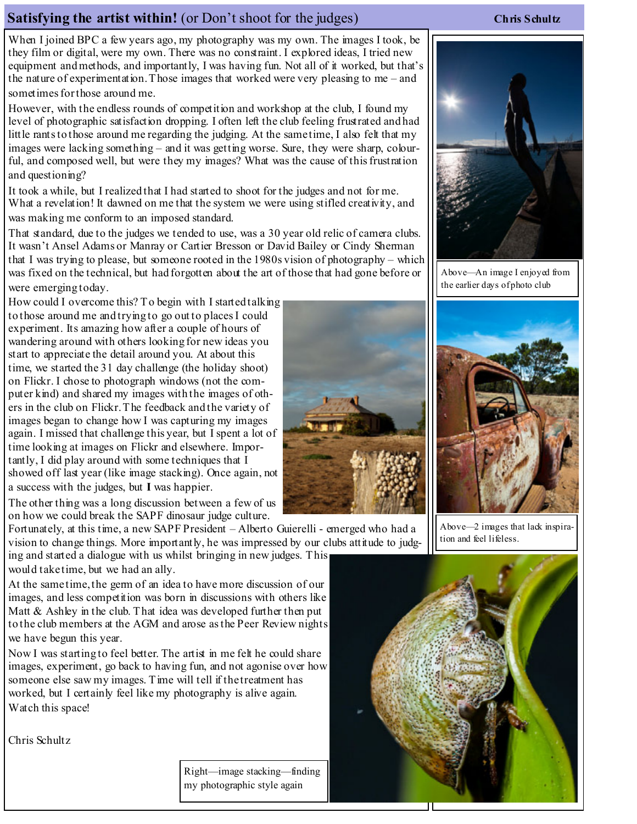# Satisfying the artist within! (or Don't shoot for the judges) Chris Schultz

When I joined BPC a few years ago, my photography was my own. The images I took, be they film or digital, were my own. There was no constraint. I explored ideas, I tried new equipment and methods, and importantly, I was having fun. Not all of it worked, but that's the nature of experimentation. Those images that worked were very pleasing to me – and sometimes for those around me.

However, with the endless rounds of competition and workshop at the club, I found my level of photographic satisfaction dropping. I often left the club feeling frustrated and had little rants to those around me regarding the judging. At the same time, I also felt that my images were lacking something – and it was getting worse. Sure, they were sharp, colourful, and composed well, but were they my images? What was the cause of this frustration and questioning?

It took a while, but I realized that I had started to shoot for the judges and not for me. What a revelation! It dawned on me that the system we were using stifled creativity, and was making me conform to an imposed standard.

That standard, due to the judges we tended to use, was a 30 year old relic of camera clubs. It wasn't Ansel Adams or Manray or Cartier Bresson or David Bailey or Cindy Sherman that I was trying to please, but someone rooted in the 1980s vision of photography – which was fixed on the technical, but had forgotten about the art of those that had gone before or were emerging today.

How could I overcome this? To begin with I started talking to those around me and trying to go out to places I could experiment. Its amazing how after a couple of hours of wandering around with others looking for new ideas you start to appreciate the detail around you. At about this time, we started the 31 day challenge (the holiday shoot) on Flickr. I chose to photograph windows (not the computer kind) and shared my images with the images of others in the club on Flickr. The feedback and the variety of images began to change how I was capturing my images again. I missed that challenge this year, but I spent a lot of time looking at images on Flickr and elsewhere. Importantly, I did play around with some techniques that I showed off last year (like image stacking). Once again, not a success with the judges, but I was happier.

The other thing was a long discussion between a few of us on how we could break the SAPF dinosaur judge culture.

Fortunately, at this time, a new SAPF President – Alberto Guierelli - emerged who had a vision to change things. More importantly, he was impressed by our clubs attitude to judging and started a dialogue with us whilst bringing in new judges. This

would take time, but we had an ally.

At the same time, the germ of an idea to have more discussion of our images, and less competition was born in discussions with others like Matt & Ashley in the club. That idea was developed further then put to the club members at the AGM and arose as the Peer Review nights we have begun this year.

Now I was starting to feel better. The artist in me felt he could share images, experiment, go back to having fun, and not agonise over how someone else saw my images. Time will tell if the treatment has worked, but I certainly feel like my photography is alive again. Watch this space!

Chris Schultz





Above—An image I enjoyed from the earlier days of photo club



Above—2 images that lack inspiration and feel lifeless.



Right—image stacking—finding my photographic style again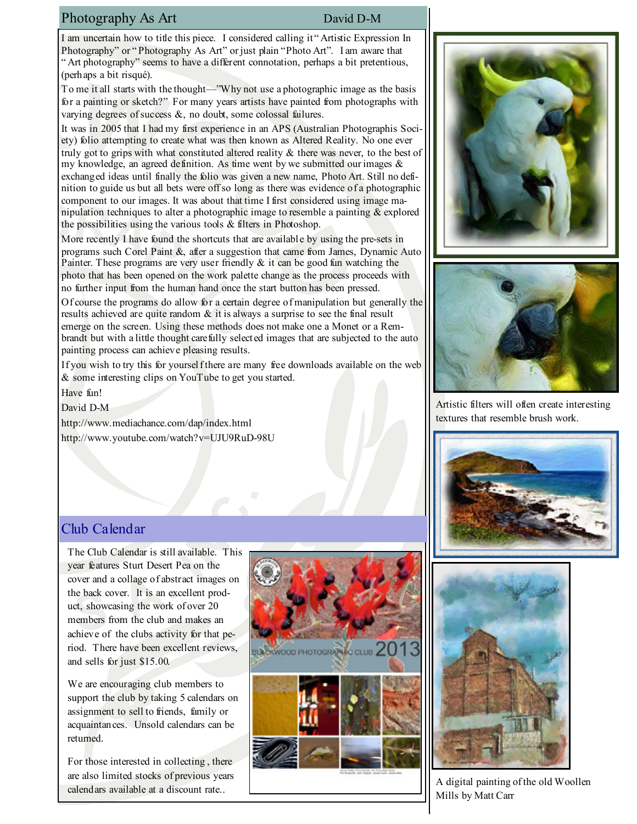## Photography As Art David D-M

I am uncertain how to title this piece. I considered calling it " Artistic Expression In Photography" or "Photography As Art" or just plain "Photo Art". I am aware that " Art photography" seems to have a different connotation, perhaps a bit pretentious, (perhaps a bit risqué).

To me it all starts with the thought—"Why not use a photographic image as the basis for a painting or sketch?" For many years artists have painted from photographs with varying degrees of success  $\&$ , no doubt, some colossal failures.

It was in 2005 that I had my first experience in an APS (Australian Photographis Society) folio attempting to create what was then known as Altered Reality. No one ever truly got to grips with what constituted altered reality & there was never, to the best of my knowledge, an agreed definition. As time went by we submitted our images  $\&$ exchanged ideas until finally the folio was given a new name, Photo Art. Still no definition to guide us but all bets were off so long as there was evidence of a photographic component to our images. It was about that time I first considered using image manipulation techniques to alter a photographic image to resemble a painting  $\&$  explored the possibilities using the various tools  $\&$  filters in Photoshop.

More recently I have found the shortcuts that are available by using the pre-sets in programs such Corel Paint &, after a suggestion that came from James, Dynamic Auto Painter. These programs are very user friendly  $\&$  it can be good fun watching the photo that has been opened on the work palette change as the process proceeds with no further input from the human hand once the start button has been pressed.

Of course the programs do allow for a certain degree of manipulation but generally the results achieved are quite random  $\&$  it is always a surprise to see the final result emerge on the screen. Using these methods does not make one a Monet or a Rembrandt but with a little thought carefully selected images that are subjected to the auto painting process can achieve pleasing results.

If you wish to try this for yourself there are many free downloads available on the web & some interesting clips on YouTube to get you started.

Have fun!

David D-M

http://www.mediachance.com/dap/index.html http://www.youtube.com/watch?v=UJU9RuD-98U

# Club Calendar

The Club Calendar is still available. This year features Sturt Desert Pea on the cover and a collage of abstract images on the back cover. It is an excellent product, showcasing the work of over 20 members from the club and makes an achieve of the clubs activity for that period. There have been excellent reviews, and sells for just \$15.00.

We are encouraging club members to support the club by taking 5 calendars on assignment to sell to friends, family or acquaintances. Unsold calendars can be returned.

For those interested in collecting , there are also limited stocks of previous years calendars available at a discount rate..







Artistic filters will often create interesting textures that resemble brush work.





A digital painting of the old Woollen Mills by Matt Carr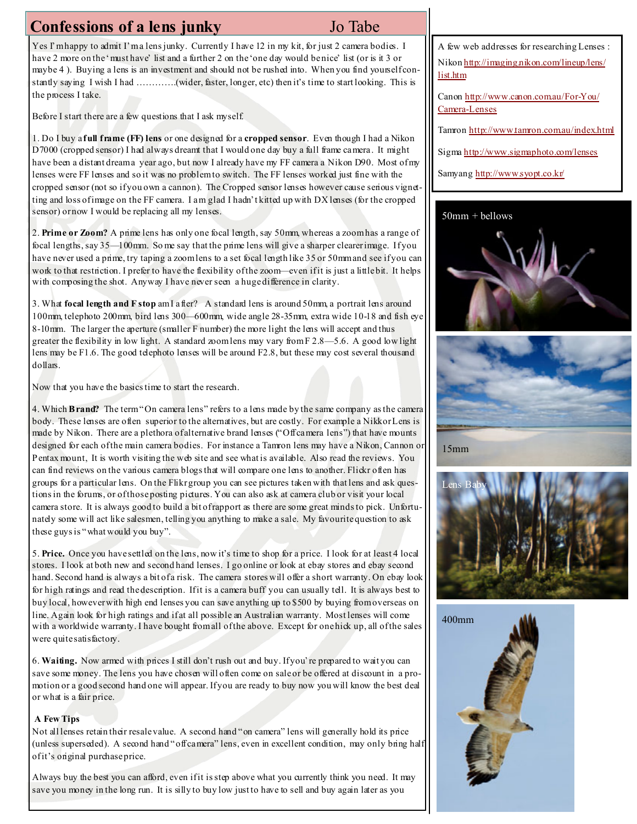# Confessions of a lens junky Jo Tabe

Yes I'm happy to admit I'm a lens junky. Currently I have 12 in my kit, for just 2 camera bodies. I have 2 more on the 'must have' list and a further 2 on the 'one day would benice' list (or is it 3 or maybe 4). Buying a lens is an investment and should not be rushed into. When you find yourself constantly saying I wish I had ………….(wider, faster, longer, etc) then it's time to start looking. This is the process I take.

Before I start there are a few questions that I ask myself.

1. Do I buy a full frame (FF) lens or one designed for a cropped sensor. Even though I had a Nikon D7000 (cropped sensor) I had always dreamt that I would one day buy a full frame camera. It might have been a distant dream a year ago, but now I already have my FF camera a Nikon D90. Most of my lenses were FF lenses and so it was no problem to switch. The FF lenses worked just fine with the cropped sensor (not so if you own a cannon). The Cropped sensor lenses however cause serious vignetting and loss of image on the FF camera. I am glad I hadn't kitted up with DX lenses (for the cropped sensor) or now I would be replacing all my lenses.

2. Prime or Zoom? A prime lens has only one focal length, say 50mm, whereas a zoom has a range of focal lengths, say 35—100mm. So me say that the prime lens will give a sharper clearer image. If you have never used a prime, try taping a zoom lens to a set focal length like 35 or 50mm and see if you can work to that restriction. I prefer to have the flexibility of the zoom—even if it is just a little bit. It helps with composing the shot. Anyway I have never seen a huge difference in clarity.

3. What focal length and F stop am I after? A standard lens is around 50mm, a portrait lens around 100mm, telephoto 200mm, bird lens 300—600mm, wide angle 28-35mm, extra wide 10-18 and fish eye 8-10mm. The larger the aperture (smaller F number) the more light the lens will accept and thus greater the flexibility in low light. A standard zoom lens may vary from  $F$  2.8—5.6. A good low light lens may be F1.6. The good telephoto lenses will be around F2.8, but these may cost several thousand dollars.

Now that you have the basics time to start the research.

4. Which Brand? The term "On camera lens" refers to a lens made by the same company as the camera body. These lenses are often superior to the alternatives, but are costly. For example a Nikkor Lens is made by Nikon. There are a plethora of alternative brand lenses ("Off camera lens") that have mounts designed for each of the main camera bodies. For instance a Tamron lens may have a Nikon, Cannon or Pentax mount, It is worth visiting the web site and see what is available. Also read the reviews. You can find reviews on the various camera blogs that will compare one lens to another. Flickr often has groups for a particular lens. On the Flikr group you can see pictures taken with that lens and ask questions in the forums, or of those posting pictures. You can also ask at camera club or visit your local camera store. It is always good to build a bit of rapport as there are some great minds to pick. Unfortunately some will act like salesmen, telling you anything to make a sale. My favourite question to ask these guys is "what would you buy".

5. Price. Once you have settled on the lens, now it's time to shop for a price. I look for at least 4 local stores. I look at both new and second hand lenses. I go online or look at ebay stores and ebay second hand. Second hand is always a bit of a risk. The camera stores will offer a short warranty. On ebay look for high ratings and read the description. If it is a camera buff you can usually tell. It is always best to buy local, however with high end lenses you can save anything up to \$500 by buying from overseas on line. Again look for high ratings and if at all possible an Australian warranty. Most lenses will come with a worldwide warranty. I have bought from all of the above. Except for one hick up, all of the sales were quite satisfactory.

6. Waiting. Now armed with prices I still don't rush out and buy. If you're prepared to wait you can save some money. The lens you have chosen will often come on sale or be offered at discount in a promotion or a good second hand one will appear. If you are ready to buy now you will know the best deal or what is a fair price.

#### A Few Tips

Not all lenses retain their resale value. A second hand "on camera" lens will generally hold its price (unless superseded). A second hand "off camera" lens, even in excellent condition, may only bring half of it's original purchase price.

Always buy the best you can afford, even if it is step above what you currently think you need. It may save you money in the long run. It is silly to buy low just to have to sell and buy again later as you

A few web addresses for researching Lenses : Nikon http://imaging.nikon.com/lineup/lens/ list.htm

Canon http://www.canon.com.au/For-You/ Camera-Lenses

Tamron http://www.tamron.com.au/index.html

Sigma http://www.sigmaphoto.com/lenses

Samyang http://www.syopt.co.kr/







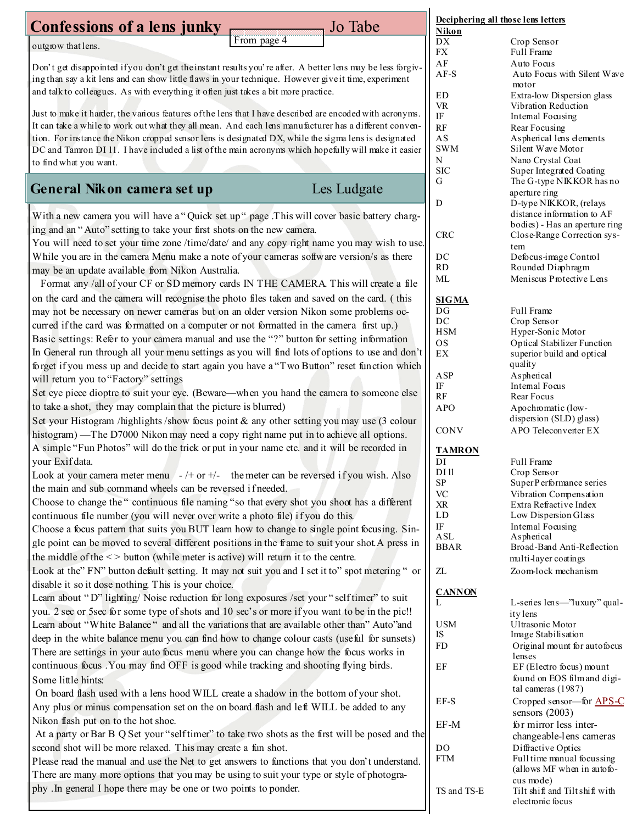| Confessions of a lens junky                                                                                                                                                                                   |             | Jo Tabe     | Deciphering all those lens letters<br>Nikon |                                                    |
|---------------------------------------------------------------------------------------------------------------------------------------------------------------------------------------------------------------|-------------|-------------|---------------------------------------------|----------------------------------------------------|
| outgrow that lens.                                                                                                                                                                                            | From page 4 |             | ${\rm D}{\rm X}$                            | Crop Sensor                                        |
|                                                                                                                                                                                                               |             |             | FX                                          | Full Frame                                         |
| Don't get disappointed if you don't get the instant results you're after. A better lens may be less forgiv-                                                                                                   |             |             | AF                                          | Auto Focus                                         |
| ing than say a kit lens and can show little flaws in your technique. However give it time, experiment                                                                                                         |             |             | $AF-S$                                      | Auto Focus with Silent Wave<br>motor               |
| and talk to colleagues. As with everything it often just takes a bit more practice.                                                                                                                           |             |             | $\rm{ED}$                                   | Extra-low Dispersion glass                         |
|                                                                                                                                                                                                               |             |             | <b>VR</b>                                   | Vibration Reduction                                |
| Just to make it harder, the various features of the lens that I have described are encoded with acronyms.                                                                                                     |             |             | IF                                          | Intemal Focusing                                   |
| It can take a while to work out what they all mean. And each lens manufacturer has a different conven-                                                                                                        |             |             | RF                                          | Rear Focusing                                      |
| tion. For instance the Nikon cropped sensor lens is designated DX, while the sigma lens is designated<br>DC and Tamron DI 11. I have included a list of the main acronyms which hopefully will make it easier |             |             | AS<br><b>SWM</b>                            | Aspherical lens elements<br>Silent Wave Motor      |
| to find what you want.                                                                                                                                                                                        |             |             | N                                           | Nano Crystal Coat                                  |
|                                                                                                                                                                                                               |             |             | <b>SIC</b>                                  | Super Integrated Coating                           |
| General Nikon camera set up                                                                                                                                                                                   |             | Les Ludgate | G                                           | The G-type NIKKOR has no                           |
|                                                                                                                                                                                                               |             |             | ${\bf D}$                                   | aperture ring<br>D-type NIKKOR, (relays            |
|                                                                                                                                                                                                               |             |             |                                             | distance information to AF                         |
| With a new camera you will have a "Quick set up" page .This will cover basic battery charg-<br>ing and an "Auto" setting to take your first shots on the new camera.                                          |             |             |                                             | bodies) - Has an aperture ring                     |
| You will need to set your time zone /time/date/ and any copy right name you may wish to use.                                                                                                                  |             |             | <b>CRC</b>                                  | Close-Range Correction sys-                        |
| While you are in the camera Menu make a note of your cameras software version/s as there                                                                                                                      |             |             |                                             | tem                                                |
| may be an update available from Nikon Australia.                                                                                                                                                              |             |             | DC<br><b>RD</b>                             | Defocus-image Control<br>Rounded Diaphragm         |
| Format any /all of your CF or SD memory cards IN THE CAMERA. This will create a file                                                                                                                          |             |             | ML                                          | Meniscus Protective Lens                           |
|                                                                                                                                                                                                               |             |             |                                             |                                                    |
| on the card and the camera will recognise the photo files taken and saved on the card. (this                                                                                                                  |             |             | <b>SIGMA</b>                                |                                                    |
| may not be necessary on newer cameras but on an older version Nikon some problems oc-                                                                                                                         |             |             | DG<br>DC                                    | Full Frame<br>Crop Sensor                          |
| curred if the card was formatted on a computer or not formatted in the camera first up.)                                                                                                                      |             |             | <b>HSM</b>                                  | Hyper-Sonic Motor                                  |
| Basic settings: Refer to your camera manual and use the "?" button for setting information                                                                                                                    |             |             | <b>OS</b>                                   | Optical Stabilizer Function                        |
| In General run through all your menu settings as you will find lots of options to use and don't                                                                                                               |             |             | $\mathop{\rm EX}\nolimits$                  | superior build and optical                         |
| forget if you mess up and decide to start again you have a "Two Button" reset function which                                                                                                                  |             |             | ASP                                         | quality                                            |
| will return you to "Factory" settings                                                                                                                                                                         |             |             | $\rm IF$                                    | Aspherical<br>Intemal Focus                        |
| Set eye piece dioptre to suit your eye. (Beware—when you hand the camera to someone else                                                                                                                      |             |             | RF                                          | Rear Focus                                         |
| to take a shot, they may complain that the picture is blurred)                                                                                                                                                |             |             | <b>APO</b>                                  | Apochromatic (low-                                 |
| Set your Histogram /highlights /show focus point & any other setting you may use (3 colour                                                                                                                    |             |             |                                             | dispersion (SLD) glass)                            |
| histogram) — The D7000 Nikon may need a copy right name put in to achieve all options.                                                                                                                        |             |             | CONV                                        | APO Teleconverter EX                               |
| A simple "Fun Photos" will do the trick or put in your name etc. and it will be recorded in                                                                                                                   |             |             | <b>TAMRON</b>                               |                                                    |
| your Exif data.                                                                                                                                                                                               |             |             | DI                                          | Full Frame                                         |
| Look at your camera meter menu $-/-$ or $+/-$ the meter can be reversed if you wish. Also                                                                                                                     |             |             | DI 11<br>SP                                 | Crop Sensor<br>SuperPerformance series             |
| the main and sub command wheels can be reversed if needed.                                                                                                                                                    |             |             | <b>VC</b>                                   | Vibration Compensation                             |
| Choose to change the "continuous file naming "so that every shot you shoot has a different                                                                                                                    |             |             | XR                                          | Extra Refractive Index                             |
| continuous file number (you will never over write a photo file) if you do this.                                                                                                                               |             |             | LD                                          | Low Dispersion Glass                               |
| Choose a focus pattern that suits you BUT learn how to change to single point focusing. Sin-                                                                                                                  |             |             | IF                                          | Intemal Focusing                                   |
| gle point can be moved to several different positions in the frame to suit your shot. A press in                                                                                                              |             |             | ASL<br><b>BBAR</b>                          | Aspherical<br>Broad-Band Anti-Reflection           |
| the middle of the $\leq$ button (while meter is active) will return it to the centre.                                                                                                                         |             |             |                                             | multi-layer coatings                               |
| Look at the" FN" button default setting. It may not suit you and I set it to" spot metering " or                                                                                                              |             |             | ZL                                          | Zoom-lock mechanism                                |
| disable it so it dose nothing. This is your choice.                                                                                                                                                           |             |             |                                             |                                                    |
| Learn about "D" lighting/ Noise reduction for long exposures /set your "selftimer" to suit                                                                                                                    |             |             | <b>CANNON</b>                               | L-senes lens-'luxury' qual-                        |
| you. 2 see or 5 see for some type of shots and 10 sec's or more if you want to be in the pic!!                                                                                                                |             |             |                                             | ity lens                                           |
| Learn about "White Balance" and all the variations that are available other than" Auto"and                                                                                                                    |             |             | <b>USM</b>                                  | Ultrasonic Motor                                   |
| deep in the white balance menu you can find how to change colour casts (useful for sunsets)                                                                                                                   |             |             | IS                                          | Image Stabilisation                                |
| There are settings in your auto focus menu where you can change how the focus works in                                                                                                                        |             |             | FD                                          | Original mount for autofocus<br>lenses             |
| continuous focus . You may find OFF is good while tracking and shooting flying birds.                                                                                                                         |             |             | EF                                          | EF (Electro focus) mount                           |
| Some little hints:                                                                                                                                                                                            |             |             |                                             | found on EOS film and digi-                        |
| On board flash used with a lens hood WILL create a shadow in the bottom of your shot.                                                                                                                         |             |             |                                             | tal cameras (1987)                                 |
| Any plus or minus compensation set on the on board flash and left WILL be added to any                                                                                                                        |             |             | EF-S                                        | Cropped sensor-for APS-C                           |
| Nikon flash put on to the hot shoe.                                                                                                                                                                           |             |             |                                             | sensors $(2003)$                                   |
| At a party or Bar B Q Set your "self timer" to take two shots as the first will be posed and the                                                                                                              |             |             | EF-M                                        | for mirror less inter-<br>changeable-lens cameras  |
| second shot will be more relaxed. This may create a fun shot.                                                                                                                                                 |             |             | DO.                                         | Diffractive Optics                                 |
| Please read the manual and use the Net to get answers to functions that you don't understand.                                                                                                                 |             |             | <b>FTM</b>                                  | Full time manual focussing                         |
| There are many more options that you may be using to suit your type or style of photogra-                                                                                                                     |             |             |                                             | (allows MF when in autofo-                         |
| phy . In general I hope there may be one or two points to ponder.                                                                                                                                             |             |             |                                             | cus mode)                                          |
|                                                                                                                                                                                                               |             |             | TS and TS-E                                 | Tilt shift and Tilt shift with<br>electronic focus |
|                                                                                                                                                                                                               |             |             |                                             |                                                    |
|                                                                                                                                                                                                               |             |             |                                             |                                                    |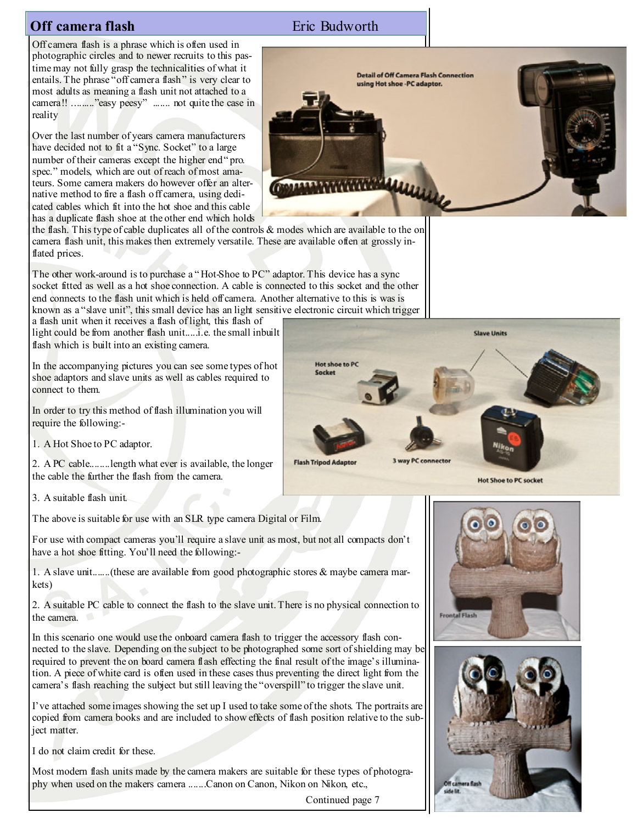# **Off camera flash Eric Budworth**

Off camera flash is a phrase which is often used in photographic circles and to newer recruits to this pastime may not fully grasp the technicalities of what it entails. The phrase "off camera flash" is very clear to most adults as meaning a flash unit not attached to a camera!! ........."easy peesy" ....... not quite the case in reality

Over the last number of years camera manufacturers have decided not to fit a "Sync. Socket" to a large number of their cameras except the higher end " pro. spec." models, which are out of reach of most amateurs. Some camera makers do however offer an alternative method to fire a flash off camera, using dedicated cables which fit into the hot shoe and this cable has a duplicate flash shoe at the other end which holds



the flash. This type of cable duplicates all of the controls & modes which are available to the on camera flash unit, this makes then extremely versatile. These are available often at grossly inflated prices.

The other work-around is to purchase a "Hot-Shoe to PC" adaptor. This device has a sync socket fitted as well as a hot shoe connection. A cable is connected to this socket and the other end connects to the flash unit which is held off camera. Another alternative to this is was is known as a "slave unit", this small device has an light sensitive electronic circuit which trigger

a flash unit when it receives a flash of light, this flash of light could be from another flash unit.....i.e. the small inbuilt flash which is built into an existing camera.

In the accompanying pictures you can see some types of hot shoe adaptors and slave units as well as cables required to connect to them.

In order to try this method of flash illumination you will require the following:-

1. A Hot Shoe to PC adaptor.

2. A PC cable........length what ever is available, the longer the cable the further the flash from the camera.

3. A suitable flash unit.

The above is suitable for use with an SLR type camera Digital or Film.

For use with compact cameras you'll require a slave unit as most, but not all compacts don't have a hot shoe fitting. You'll need the following:-

1. A slave unit.......(these are available from good photographic stores & maybe camera markets)

2. A suitable PC cable to connect the flash to the slave unit. There is no physical connection to the camera.

In this scenario one would use the onboard camera flash to trigger the accessory flash connected to the slave. Depending on the subject to be photographed some sort of shielding may be required to prevent the on board camera flash effecting the final result of the image's illumination. A piece of white card is often used in these cases thus preventing the direct light from the camera's flash reaching the subject but still leaving the "overspill" to trigger the slave unit.

I've attached some images showing the set up I used to take some of the shots. The portraits are copied from camera books and are included to show effects of flash position relative to the subject matter.

I do not claim credit for these.

Most modern flash units made by the camera makers are suitable for these types of photography when used on the makers camera .......Canon on Canon, Nikon on Nikon, etc.,

Continued page 7



**Hot Shoe to PC socket**